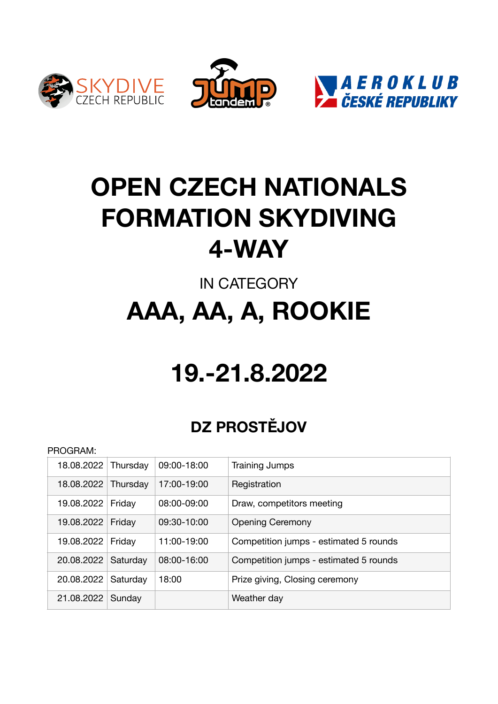





## **OPEN CZECH NATIONALS FORMATION SKYDIVING 4-WAY**

## IN CATEGORY **AAA, AA, A, ROOKIE**

# **19.-21.8.2022**

### **DZ PROSTĚJOV**

#### PROGRAM:

| 18.08.2022 Thursday |          | 09:00-18:00     | Training Jumps                         |
|---------------------|----------|-----------------|----------------------------------------|
| 18.08.2022 Thursday |          | 17:00-19:00     | Registration                           |
| 19.08.2022          | Friday   | $08:00 - 09:00$ | Draw, competitors meeting              |
| 19.08.2022          | Friday   | $09:30 - 10:00$ | <b>Opening Ceremony</b>                |
| 19.08.2022          | Friday   | 11:00-19:00     | Competition jumps - estimated 5 rounds |
| 20.08.2022          | Saturday | 08:00-16:00     | Competition jumps - estimated 5 rounds |
| 20.08.2022          | Saturday | 18:00           | Prize giving, Closing ceremony         |
| 21.08.2022          | Sunday   |                 | Weather day                            |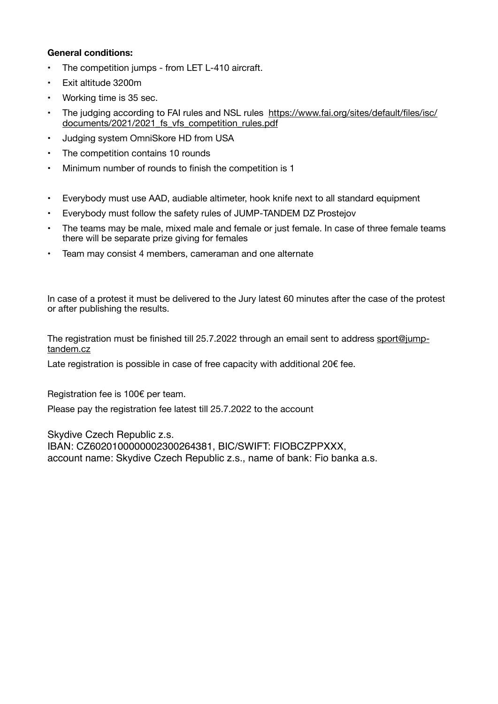#### **General conditions:**

- The competition jumps from LET L-410 aircraft.
- Exit altitude 3200m
- Working time is 35 sec.
- [The judging according to FAI rules and NSL rules https://www.fai.org/sites/default/files/isc/](https://www.fai.org/sites/default/files/isc/documents/2021/2021_fs_vfs_competition_rules.pdf) documents/2021/2021 fs\_vfs\_competition\_rules.pdf
- Judging system OmniSkore HD from USA
- The competition contains 10 rounds
- Minimum number of rounds to finish the competition is 1
- Everybody must use AAD, audiable altimeter, hook knife next to all standard equipment
- Everybody must follow the safety rules of JUMP-TANDEM DZ Prostejov
- The teams may be male, mixed male and female or just female. In case of three female teams there will be separate prize giving for females
- Team may consist 4 members, cameraman and one alternate

In case of a protest it must be delivered to the Jury latest 60 minutes after the case of the protest or after publishing the results.

The registration must be finished till 25.7.2022 through an email sent to address [sport@jump](mailto:sport@jump-tandem.cz)[tandem.cz](mailto:sport@jump-tandem.cz)

Late registration is possible in case of free capacity with additional 20€ fee.

Registration fee is 100€ per team.

Please pay the registration fee latest till 25.7.2022 to the account

Skydive Czech Republic z.s. IBAN: CZ6020100000002300264381, BIC/SWIFT: FIOBCZPPXXX, account name: Skydive Czech Republic z.s., name of bank: Fio banka a.s.